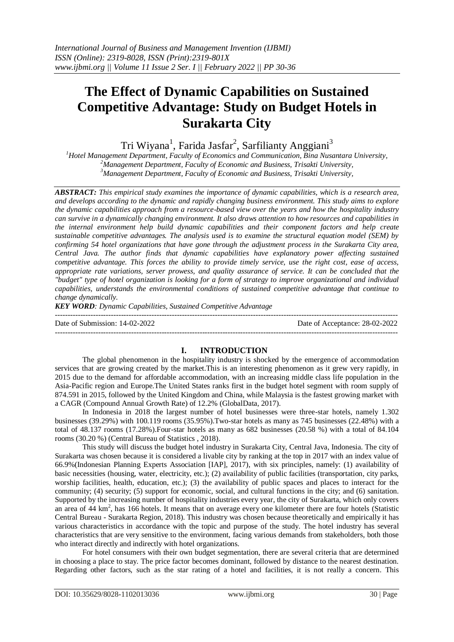# **The Effect of Dynamic Capabilities on Sustained Competitive Advantage: Study on Budget Hotels in Surakarta City**

Tri Wiyana<sup>1</sup>, Farida Jasfar<sup>2</sup>, Sarfilianty Anggiani<sup>3</sup>

*<sup>1</sup>Hotel Management Department, Faculty of Economics and Communication, Bina Nusantara University, <sup>2</sup>Management Department, Faculty of Economic and Business, Trisakti University, <sup>3</sup>Management Department, Faculty of Economic and Business, Trisakti University,* 

*ABSTRACT: This empirical study examines the importance of dynamic capabilities, which is a research area, and develops according to the dynamic and rapidly changing business environment. This study aims to explore the dynamic capabilities approach from a resource-based view over the years and how the hospitality industry can survive in a dynamically changing environment. It also draws attention to how resources and capabilities in the internal environment help build dynamic capabilities and their component factors and help create sustainable competitive advantages. The analysis used is to examine the structural equation model (SEM) by confirming 54 hotel organizations that have gone through the adjustment process in the Surakarta City area, Central Java. The author finds that dynamic capabilities have explanatory power affecting sustained competitive advantage. This forces the ability to provide timely service, use the right cost, ease of access, appropriate rate variations, server prowess, and quality assurance of service. It can be concluded that the "budget" type of hotel organization is looking for a form of strategy to improve organizational and individual capabilities, understands the environmental conditions of sustained competitive advantage that continue to change dynamically.*

*KEY WORD: Dynamic Capabilities, Sustained Competitive Advantage*

--------------------------------------------------------------------------------------------------------------------------------------- Date of Submission: 14-02-2022 Date of Acceptance: 28-02-2022 ---------------------------------------------------------------------------------------------------------------------------------------

# **I. INTRODUCTION**

The global phenomenon in the hospitality industry is shocked by the emergence of accommodation services that are growing created by the market.This is an interesting phenomenon as it grew very rapidly, in 2015 due to the demand for affordable accommodation, with an increasing middle class life population in the Asia-Pacific region and Europe.The United States ranks first in the budget hotel segment with room supply of 874.591 in 2015, followed by the United Kingdom and China, while Malaysia is the fastest growing market with a CAGR (Compound Annual Growth Rate) of 12.2% (GlobalData, 2017).

In Indonesia in 2018 the largest number of hotel businesses were three-star hotels, namely 1.302 businesses (39.29%) with 100.119 rooms (35.95%).Two-star hotels as many as 745 businesses (22.48%) with a total of 48.137 rooms (17.28%).Four-star hotels as many as 682 businesses (20.58 %) with a total of 84.104 rooms (30.20 %) (Central Bureau of Statistics , 2018).

This study will discuss the budget hotel industry in Surakarta City, Central Java, Indonesia. The city of Surakarta was chosen because it is considered a livable city by ranking at the top in 2017 with an index value of 66.9%(Indonesian Planning Experts Association [IAP], 2017), with six principles, namely: (1) availability of basic necessities (housing, water, electricity, etc.); (2) availability of public facilities (transportation, city parks, worship facilities, health, education, etc.); (3) the availability of public spaces and places to interact for the community; (4) security; (5) support for economic, social, and cultural functions in the city; and (6) sanitation. Supported by the increasing number of hospitality industries every year, the city of Surakarta, which only covers an area of 44 km<sup>2</sup>, has 166 hotels. It means that on average every one kilometer there are four hotels (Statistic Central Bureau - Surakarta Region, 2018). This industry was chosen because theoretically and empirically it has various characteristics in accordance with the topic and purpose of the study. The hotel industry has several characteristics that are very sensitive to the environment, facing various demands from stakeholders, both those who interact directly and indirectly with hotel organizations.

For hotel consumers with their own budget segmentation, there are several criteria that are determined in choosing a place to stay. The price factor becomes dominant, followed by distance to the nearest destination. Regarding other factors, such as the star rating of a hotel and facilities, it is not really a concern. This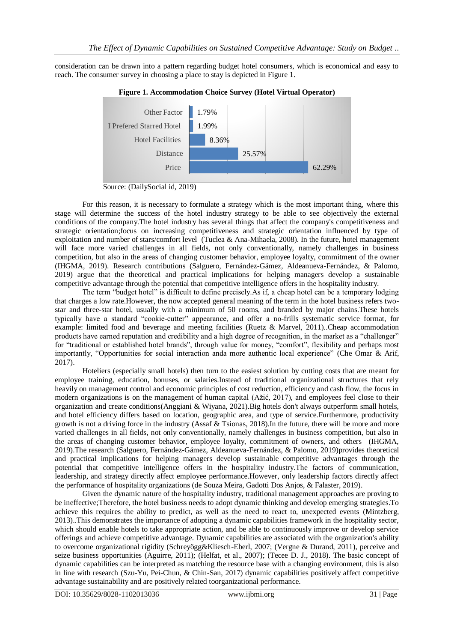consideration can be drawn into a pattern regarding budget hotel consumers, which is economical and easy to reach. The consumer survey in choosing a place to stay is depicted in Figure 1.



**Figure 1. Accommodation Choice Survey (Hotel Virtual Operator)**

Source: (DailySocial id, 2019)

For this reason, it is necessary to formulate a strategy which is the most important thing, where this stage will determine the success of the hotel industry strategy to be able to see objectively the external conditions of the company.The hotel industry has several things that affect the company's competitiveness and strategic orientation;focus on increasing competitiveness and strategic orientation influenced by type of exploitation and number of stars/comfort level (Tuclea & Ana-Mihaela, 2008). In the future, hotel management will face more varied challenges in all fields, not only conventionally, namely challenges in business competition, but also in the areas of changing customer behavior, employee loyalty, commitment of the owner (IHGMA, 2019). Research contributions (Salguero, Fernández-Gámez, Aldeanueva-Fernández, & Palomo, 2019) argue that the theoretical and practical implications for helping managers develop a sustainable competitive advantage through the potential that competitive intelligence offers in the hospitality industry.

The term "budget hotel" is difficult to define precisely.As if, a cheap hotel can be a temporary lodging that charges a low rate.However, the now accepted general meaning of the term in the hotel business refers twostar and three-star hotel, usually with a minimum of 50 rooms, and branded by major chains.These hotels typically have a standard "cookie-cutter" appearance, and offer a no-frills systematic service format, for example: limited food and beverage and meeting facilities (Ruetz & Marvel, 2011)..Cheap accommodation products have earned reputation and credibility and a high degree of recognition, in the market as a "challenger" for "traditional or established hotel brands", through value for money, "comfort", flexibility and perhaps most importantly, "Opportunities for social interaction anda more authentic local experience" (Che Omar & Arif, 2017).

Hoteliers (especially small hotels) then turn to the easiest solution by cutting costs that are meant for employee training, education, bonuses, or salaries.Instead of traditional organizational structures that rely heavily on management control and economic principles of cost reduction, efficiency and cash flow, the focus in modern organizations is on the management of human capital (Ažić, 2017), and employees feel close to their organization and create conditions(Anggiani & Wiyana, 2021).Big hotels don't always outperform small hotels, and hotel efficiency differs based on location, geographic area, and type of service.Furthermore, productivity growth is not a driving force in the industry (Assaf & Tsionas, 2018).In the future, there will be more and more varied challenges in all fields, not only conventionally, namely challenges in business competition, but also in the areas of changing customer behavior, employee loyalty, commitment of owners, and others (IHGMA, 2019).The research (Salguero, Fernández-Gámez, Aldeanueva-Fernández, & Palomo, 2019)provides theoretical and practical implications for helping managers develop sustainable competitive advantages through the potential that competitive intelligence offers in the hospitality industry.The factors of communication, leadership, and strategy directly affect employee performance.However, only leadership factors directly affect the performance of hospitality organizations (de Souza Meira, Gadotti Dos Anjos, & Falaster, 2019).

Given the dynamic nature of the hospitality industry, traditional management approaches are proving to be ineffective;Therefore, the hotel business needs to adopt dynamic thinking and develop emerging strategies.To achieve this requires the ability to predict, as well as the need to react to, unexpected events (Mintzberg, 2013)..This demonstrates the importance of adopting a dynamic capabilities framework in the hospitality sector, which should enable hotels to take appropriate action, and be able to continuously improve or develop service offerings and achieve competitive advantage. Dynamic capabilities are associated with the organization's ability to overcome organizational rigidity (Schreyögg&Kliesch-Eberl, 2007; (Vergne & Durand, 2011), perceive and seize business opportunities (Aguirre, 2011); (Helfat, et al., 2007); (Tecee D. J., 2018). The basic concept of dynamic capabilities can be interpreted as matching the resource base with a changing environment, this is also in line with research (Szu-Yu, Pei-Chun, & Chin-San, 2017) dynamic capabilities positively affect competitive advantage sustainability and are positively related toorganizational performance.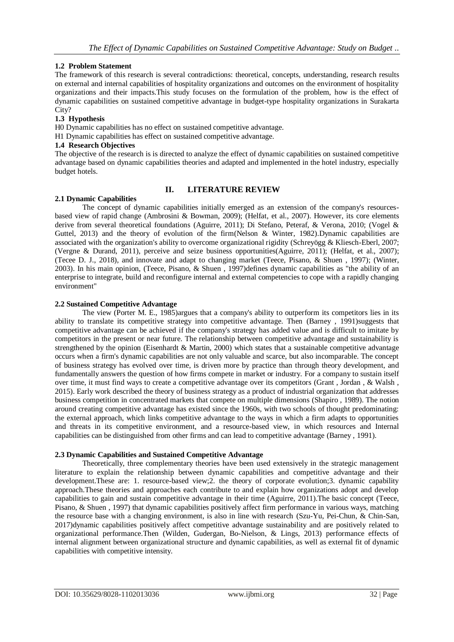# **1.2 Problem Statement**

The framework of this research is several contradictions: theoretical, concepts, understanding, research results on external and internal capabilities of hospitality organizations and outcomes on the environment of hospitality organizations and their impacts.This study focuses on the formulation of the problem, how is the effect of dynamic capabilities on sustained competitive advantage in budget-type hospitality organizations in Surakarta City?

# **1.3 Hypothesis**

H0 Dynamic capabilities has no effect on sustained competitive advantage.

H1 Dynamic capabilities has effect on sustained competitive advantage.

## **1.4 Research Objectives**

The objective of the research is is directed to analyze the effect of dynamic capabilities on sustained competitive advantage based on dynamic capabilities theories and adapted and implemented in the hotel industry, especially budget hotels.

# **II. LITERATURE REVIEW**

## **2.1 Dynamic Capabilities**

The concept of dynamic capabilities initially emerged as an extension of the company's resourcesbased view of rapid change (Ambrosini & Bowman, 2009); (Helfat, et al., 2007). However, its core elements derive from several theoretical foundations (Aguirre, 2011); Di Stefano, Peteraf, & Verona, 2010; (Vogel & Guttel, 2013) and the theory of evolution of the firm(Nelson & Winter, 1982).Dynamic capabilities are associated with the organization's ability to overcome organizational rigidity (Schreyögg & Kliesch-Eberl, 2007; (Vergne & Durand, 2011), perceive and seize business opportunities(Aguirre, 2011); (Helfat, et al., 2007); (Tecee D. J., 2018), and innovate and adapt to changing market (Teece, Pisano, & Shuen , 1997); (Winter, 2003). In his main opinion, (Teece, Pisano, & Shuen , 1997)defines dynamic capabilities as "the ability of an enterprise to integrate, build and reconfigure internal and external competencies to cope with a rapidly changing environment"

## **2.2 Sustained Competitive Advantage**

The view (Porter M. E., 1985)argues that a company's ability to outperform its competitors lies in its ability to translate its competitive strategy into competitive advantage. Then (Barney , 1991)suggests that competitive advantage can be achieved if the company's strategy has added value and is difficult to imitate by competitors in the present or near future. The relationship between competitive advantage and sustainability is strengthened by the opinion (Eisenhardt & Martin, 2000) which states that a sustainable competitive advantage occurs when a firm's dynamic capabilities are not only valuable and scarce, but also incomparable. The concept of business strategy has evolved over time, is driven more by practice than through theory development, and fundamentally answers the question of how firms compete in market or industry. For a company to sustain itself over time, it must find ways to create a competitive advantage over its competitors (Grant , Jordan , & Walsh , 2015). Early work described the theory of business strategy as a product of industrial organization that addresses business competition in concentrated markets that compete on multiple dimensions (Shapiro , 1989). The notion around creating competitive advantage has existed since the 1960s, with two schools of thought predominating: the external approach, which links competitive advantage to the ways in which a firm adapts to opportunities and threats in its competitive environment, and a resource-based view, in which resources and Internal capabilities can be distinguished from other firms and can lead to competitive advantage (Barney , 1991).

# **2.3 Dynamic Capabilities and Sustained Competitive Advantage**

Theoretically, three complementary theories have been used extensively in the strategic management literature to explain the relationship between dynamic capabilities and competitive advantage and their development.These are: 1. resource-based view;2. the theory of corporate evolution;3. dynamic capability approach.These theories and approaches each contribute to and explain how organizations adopt and develop capabilities to gain and sustain competitive advantage in their time (Aguirre, 2011).The basic concept (Teece, Pisano, & Shuen , 1997) that dynamic capabilities positively affect firm performance in various ways, matching the resource base with a changing environment, is also in line with research (Szu-Yu, Pei-Chun, & Chin-San, 2017)dynamic capabilities positively affect competitive advantage sustainability and are positively related to organizational performance.Then (Wilden, Gudergan, Bo-Nielson, & Lings, 2013) performance effects of internal alignment between organizational structure and dynamic capabilities, as well as external fit of dynamic capabilities with competitive intensity.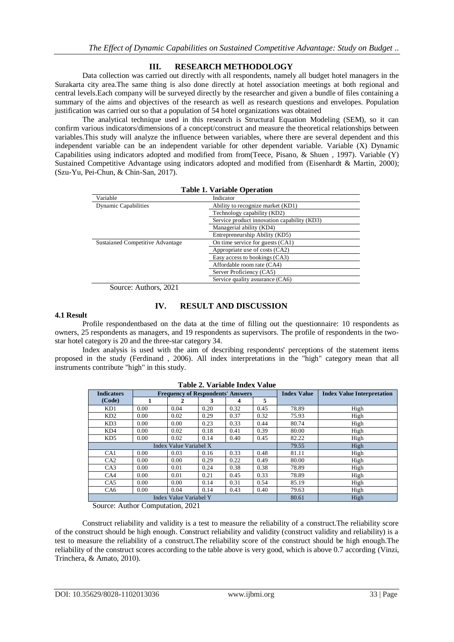# **III. RESEARCH METHODOLOGY**

Data collection was carried out directly with all respondents, namely all budget hotel managers in the Surakarta city area.The same thing is also done directly at hotel association meetings at both regional and central levels.Each company will be surveyed directly by the researcher and given a bundle of files containing a summary of the aims and objectives of the research as well as research questions and envelopes. Population justification was carried out so that a population of 54 hotel organizations was obtained

The analytical technique used in this research is Structural Equation Modeling (SEM), so it can confirm various indicators/dimensions of a concept/construct and measure the theoretical relationships between variables.This study will analyze the influence between variables, where there are several dependent and this independent variable can be an independent variable for other dependent variable. Variable (X) Dynamic Capabilities using indicators adopted and modified from from(Teece, Pisano, & Shuen , 1997). Variable (Y) Sustained Competitive Advantage using indicators adopted and modified from (Eisenhardt & Martin, 2000); (Szu-Yu, Pei-Chun, & Chin-San, 2017).

| Table 1. Variable Operation      |                                             |  |  |  |  |
|----------------------------------|---------------------------------------------|--|--|--|--|
| Variable                         | Indicator                                   |  |  |  |  |
| <b>Dynamic Capabilities</b>      | Ability to recognize market (KD1)           |  |  |  |  |
|                                  | Technology capability (KD2)                 |  |  |  |  |
|                                  | Service product innovation capability (KD3) |  |  |  |  |
|                                  | Managerial ability (KD4)                    |  |  |  |  |
|                                  | Entrepreneurship Ability (KD5)              |  |  |  |  |
| Sustaianed Competitive Advantage | On time service for guests (CA1)            |  |  |  |  |
|                                  | Appropriate use of costs (CA2)              |  |  |  |  |
|                                  | Easy access to bookings (CA3)               |  |  |  |  |
|                                  | Affordable room rate (CA4)                  |  |  |  |  |
|                                  | Server Proficiency (CA5)                    |  |  |  |  |
|                                  | Service quality assurance (CA6)             |  |  |  |  |

**Table 1. Variable Operation**

Source: Authors, 2021

# **IV. RESULT AND DISCUSSION**

#### **4.1 Result**

Profile respondentbased on the data at the time of filling out the questionnaire: 10 respondents as owners, 25 respondents as managers, and 19 respondents as supervisors. The profile of respondents in the twostar hotel category is 20 and the three-star category 34.

Index analysis is used with the aim of describing respondents' perceptions of the statement items proposed in the study (Ferdinand , 2006). All index interpretations in the "high" category mean that all instruments contribute "high" in this study.

| <b>Indicators</b>      | <b>Frequency of Respondents' Answers</b> |      |      |       | <b>Index Value</b> | <b>Index Value Interpretation</b> |      |  |
|------------------------|------------------------------------------|------|------|-------|--------------------|-----------------------------------|------|--|
| (Code)                 | 1                                        | 2    | 3    | 4     | 5                  |                                   |      |  |
| KD1                    | 0.00                                     | 0.04 | 0.20 | 0.32  | 0.45               | 78.89                             | High |  |
| KD2                    | 0.00                                     | 0.02 | 0.29 | 0.37  | 0.32               | 75.93                             | High |  |
| KD3                    | 0.00                                     | 0.00 | 0.23 | 0.33  | 0.44               | 80.74                             | High |  |
| KD4                    | 0.00                                     | 0.02 | 0.18 | 0.41  | 0.39               | 80.00                             | High |  |
| KD <sub>5</sub>        | 0.00                                     | 0.02 | 0.14 | 0.40  | 0.45               | 82.22                             | High |  |
| Index Value Variabel X |                                          |      |      |       | 79.55              | High                              |      |  |
| CA <sub>1</sub>        | 0.00                                     | 0.03 | 0.16 | 0.33  | 0.48               | 81.11                             | High |  |
| CA2                    | 0.00                                     | 0.00 | 0.29 | 0.22  | 0.49               | 80.00                             | High |  |
| CA3                    | 0.00                                     | 0.01 | 0.24 | 0.38  | 0.38               | 78.89                             | High |  |
| CA4                    | 0.00                                     | 0.01 | 0.21 | 0.45  | 0.33               | 78.89                             | High |  |
| CA5                    | 0.00                                     | 0.00 | 0.14 | 0.31  | 0.54               | 85.19                             | High |  |
| CA <sub>6</sub>        | 0.04<br>0.43<br>0.40<br>0.00<br>0.14     |      |      | 79.63 | High               |                                   |      |  |
| Index Value Variabel Y |                                          |      |      |       | 80.61              | High                              |      |  |

**Table 2. Variable Index Value**

Source: Author Computation, 2021

Construct reliability and validity is a test to measure the reliability of a construct.The reliability score of the construct should be high enough. Construct reliability and validity (construct validity and reliability) is a test to measure the reliability of a construct.The reliability score of the construct should be high enough.The reliability of the construct scores according to the table above is very good, which is above 0.7 according (Vinzi, Trinchera, & Amato, 2010).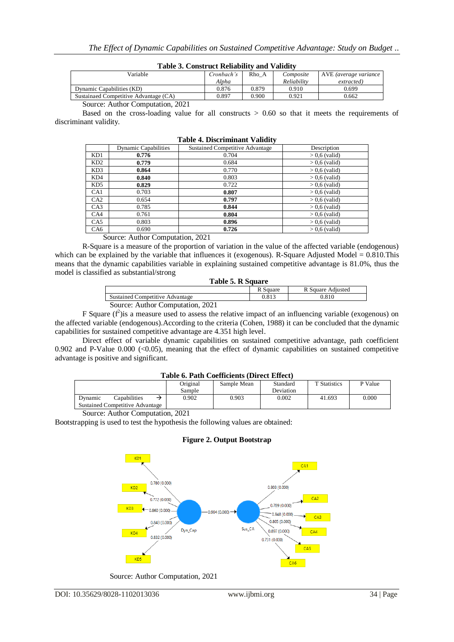| Table 9: Construct Kenability and Vanuity |                     |       |             |                       |  |
|-------------------------------------------|---------------------|-------|-------------|-----------------------|--|
| Variable                                  | Cronbach's<br>Rho A |       | Composite   | AVE (average variance |  |
|                                           | Alpha               |       | Reliability | extracted)            |  |
| Dynamic Capabilities (KD)                 | 0.876               | 0.879 | 0.910       | 0.699                 |  |
| Sustainaed Competitive Advantage (CA)     | 0.897               | 0.900 | 0.921       | 0.662                 |  |
| $\sim$ $\sim$ $\sim$<br>$\sim$            |                     |       |             |                       |  |

# **Table 3. Construct Reliability and Validity**

Source: Author Computation, 2021

Based on the cross-loading value for all constructs  $> 0.60$  so that it meets the requirements of discriminant validity.

| 1 avit 11 <i>D'</i> ibériminant (anthro |                             |                                        |                 |  |  |  |  |  |
|-----------------------------------------|-----------------------------|----------------------------------------|-----------------|--|--|--|--|--|
|                                         | <b>Dynamic Capabilities</b> | <b>Sustained Competitive Advantage</b> | Description     |  |  |  |  |  |
| KD1                                     | 0.776                       | 0.704                                  | $> 0.6$ (valid) |  |  |  |  |  |
| KD2                                     | 0.779                       | 0.684                                  | $> 0.6$ (valid) |  |  |  |  |  |
| KD3                                     | 0.864                       | 0.770                                  | $> 0.6$ (valid) |  |  |  |  |  |
| KD4                                     | 0.840                       | 0.803                                  | $> 0.6$ (valid) |  |  |  |  |  |
| KD5                                     | 0.829                       | 0.722                                  | $> 0.6$ (valid) |  |  |  |  |  |
| CA1                                     | 0.703                       | 0.807                                  | $> 0.6$ (valid) |  |  |  |  |  |
| CA2                                     | 0.654                       | 0.797                                  | $> 0.6$ (valid) |  |  |  |  |  |
| CA3                                     | 0.785                       | 0.844                                  | $> 0.6$ (valid) |  |  |  |  |  |
| CA4                                     | 0.761                       | 0.804                                  | $> 0.6$ (valid) |  |  |  |  |  |
| CA <sub>5</sub>                         | 0.803                       | 0.896                                  | $> 0.6$ (valid) |  |  |  |  |  |
| CA6                                     | 0.690                       | 0.726                                  | $> 0.6$ (valid) |  |  |  |  |  |

#### **Table 4. Discriminant Validity**

Source: Author Computation, 2021

R-Square is a measure of the proportion of variation in the value of the affected variable (endogenous) which can be explained by the variable that influences it (exogenous). R-Square Adjusted Model  $= 0.810$ . This means that the dynamic capabilities variable in explaining sustained competitive advantage is 81.0%, thus the model is classified as substantial/strong

| Table 5. R Square                      |          |                   |  |  |  |
|----------------------------------------|----------|-------------------|--|--|--|
|                                        | R Square | R Square Adjusted |  |  |  |
| <b>Sustained Competitive Advantage</b> | 0.813    | 0.810             |  |  |  |
| Source: Author Computation, 2021       |          |                   |  |  |  |

F Square  $(f^2)$  is a measure used to assess the relative impact of an influencing variable (exogenous) on the affected variable (endogenous).According to the criteria (Cohen, 1988) it can be concluded that the dynamic capabilities for sustained competitive advantage are 4.351 high level.

Direct effect of variable dynamic capabilities on sustained competitive advantage, path coefficient 0.902 and P-Value 0.000  $\langle 0.05 \rangle$ , meaning that the effect of dynamic capabilities on sustained competitive advantage is positive and significant.

#### **Table 6. Path Coefficients (Direct Effect)**

|                                 | 1 WYN YN 1 WYN COUNNUND I DIN UU LINUUD     |              |  |          |             |           |                     |         |
|---------------------------------|---------------------------------------------|--------------|--|----------|-------------|-----------|---------------------|---------|
|                                 |                                             |              |  | Original | Sample Mean | Standard  | <b>T</b> Statistics | P Value |
|                                 |                                             |              |  | Sample   |             | Deviation |                     |         |
|                                 | Dynamic                                     | Capabilities |  | 0.902    | 0.903       | 0.002     | 41.693              | 0.000   |
| Sustained Competitive Advantage |                                             |              |  |          |             |           |                     |         |
|                                 | $\alpha$ $\alpha$ $\alpha$ $\beta$ $\alpha$ |              |  |          |             |           |                     |         |

Source: Author Computation, 2021

Bootstrapping is used to test the hypothesis the following values are obtained:

#### **Figure 2. Output Bootstrap**



Source: Author Computation, 2021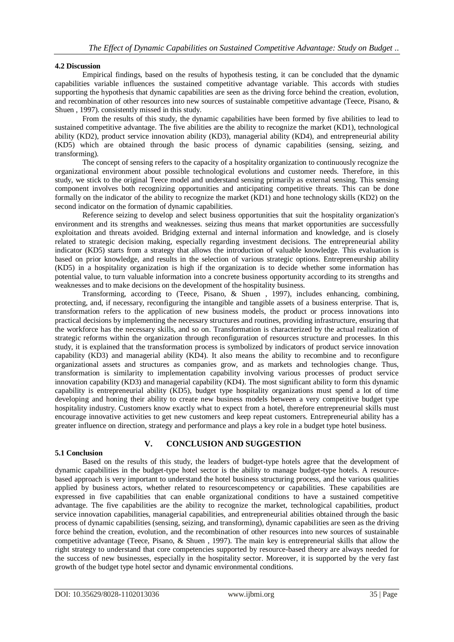# **4.2 Discussion**

Empirical findings, based on the results of hypothesis testing, it can be concluded that the dynamic capabilities variable influences the sustained competitive advantage variable. This accords with studies supporting the hypothesis that dynamic capabilities are seen as the driving force behind the creation, evolution, and recombination of other resources into new sources of sustainable competitive advantage (Teece, Pisano, & Shuen , 1997). consistently missed in this study.

From the results of this study, the dynamic capabilities have been formed by five abilities to lead to sustained competitive advantage. The five abilities are the ability to recognize the market (KD1), technological ability (KD2), product service innovation ability (KD3), managerial ability (KD4), and entrepreneurial ability (KD5) which are obtained through the basic process of dynamic capabilities (sensing, seizing, and transforming).

The concept of sensing refers to the capacity of a hospitality organization to continuously recognize the organizational environment about possible technological evolutions and customer needs. Therefore, in this study, we stick to the original Teece model and understand sensing primarily as external sensing. This sensing component involves both recognizing opportunities and anticipating competitive threats. This can be done formally on the indicator of the ability to recognize the market (KD1) and hone technology skills (KD2) on the second indicator on the formation of dynamic capabilities.

Reference seizing to develop and select business opportunities that suit the hospitality organization's environment and its strengths and weaknesses. seizing thus means that market opportunities are successfully exploitation and threats avoided. Bridging external and internal information and knowledge, and is closely related to strategic decision making, especially regarding investment decisions. The entrepreneurial ability indicator (KD5) starts from a strategy that allows the introduction of valuable knowledge. This evaluation is based on prior knowledge, and results in the selection of various strategic options. Entrepreneurship ability (KD5) in a hospitality organization is high if the organization is to decide whether some information has potential value, to turn valuable information into a concrete business opportunity according to its strengths and weaknesses and to make decisions on the development of the hospitality business.

Transforming, according to (Teece, Pisano, & Shuen , 1997), includes enhancing, combining, protecting, and, if necessary, reconfiguring the intangible and tangible assets of a business enterprise. That is, transformation refers to the application of new business models, the product or process innovations into practical decisions by implementing the necessary structures and routines, providing infrastructure, ensuring that the workforce has the necessary skills, and so on. Transformation is characterized by the actual realization of strategic reforms within the organization through reconfiguration of resources structure and processes. In this study, it is explained that the transformation process is symbolized by indicators of product service innovation capability (KD3) and managerial ability (KD4). It also means the ability to recombine and to reconfigure organizational assets and structures as companies grow, and as markets and technologies change. Thus, transformation is similarity to implementation capability involving various processes of product service innovation capability (KD3) and managerial capability (KD4). The most significant ability to form this dynamic capability is entrepreneurial ability (KD5), budget type hospitality organizations must spend a lot of time developing and honing their ability to create new business models between a very competitive budget type hospitality industry. Customers know exactly what to expect from a hotel, therefore entrepreneurial skills must encourage innovative activities to get new customers and keep repeat customers. Entrepreneurial ability has a greater influence on direction, strategy and performance and plays a key role in a budget type hotel business.

# **V. CONCLUSION AND SUGGESTION**

#### **5.1 Conclusion**

Based on the results of this study, the leaders of budget-type hotels agree that the development of dynamic capabilities in the budget-type hotel sector is the ability to manage budget-type hotels. A resourcebased approach is very important to understand the hotel business structuring process, and the various qualities applied by business actors, whether related to resourcescompetency or capabilities. These capabilities are expressed in five capabilities that can enable organizational conditions to have a sustained competitive advantage. The five capabilities are the ability to recognize the market, technological capabilities, product service innovation capabilities, managerial capabilities, and entrepreneurial abilities obtained through the basic process of dynamic capabilities (sensing, seizing, and transforming), dynamic capabilities are seen as the driving force behind the creation, evolution, and the recombination of other resources into new sources of sustainable competitive advantage (Teece, Pisano, & Shuen , 1997). The main key is entrepreneurial skills that allow the right strategy to understand that core competencies supported by resource-based theory are always needed for the success of new businesses, especially in the hospitality sector. Moreover, it is supported by the very fast growth of the budget type hotel sector and dynamic environmental conditions.